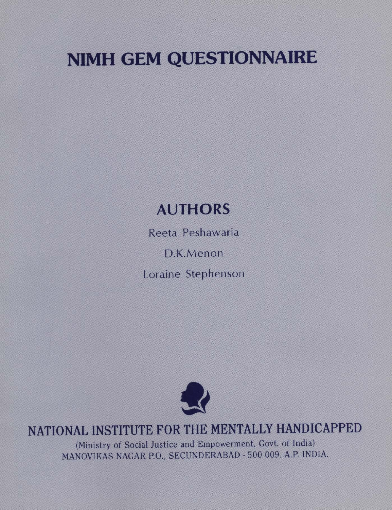# NIMH GEM QUESTIONNAIRE

# AUTHORS

Reeta Peshawaria

D.K.Menon

Loraine Stephenson



## NATIONAL INSTITUTE FOR THE MENTALLY HANDICAPPED

(Ministry of Social Justice and Empowerment, Govt. of India) MANOVIKAS NAGAR P.O., SECUNDERABAD - 500 009. A.P. INDIA.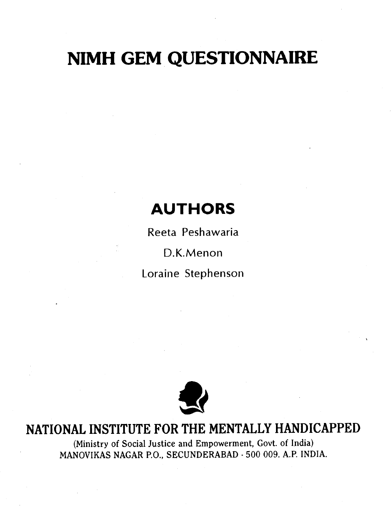# NIMH GEM QUESTIONNAIRE

## **AUTHORS**

Reeta Peshawaria

D.K.Menon

Loraine Stephenson



### NATIONAL INSTITUTE FOR THE MENTALLY HANDICAPPED

(Ministry of Social Justice and Empowerment, Govt. of India) MANOVIKAS NAGAR P.O., SECUNDERABAD - 500 009. A.P. INDIA.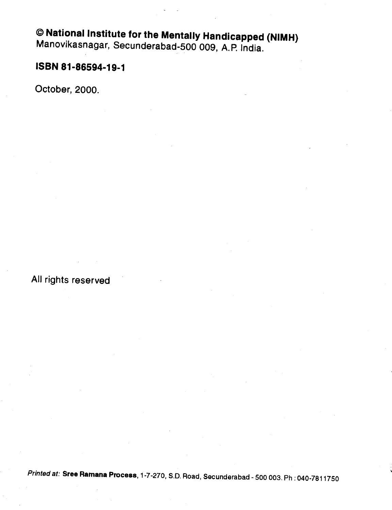# National Institute for the Mentally Handicapped (NIMH) Manovikasnagar, Secunderabad-500 009, A. P. India.

#### ISBN 81-86594-19-1

October, 2000.

All rights reserved

Printed at: Sree Ramana Process, 1-7-270, S.D. Road, Secunderabad - 500 003. Ph : 040-7811750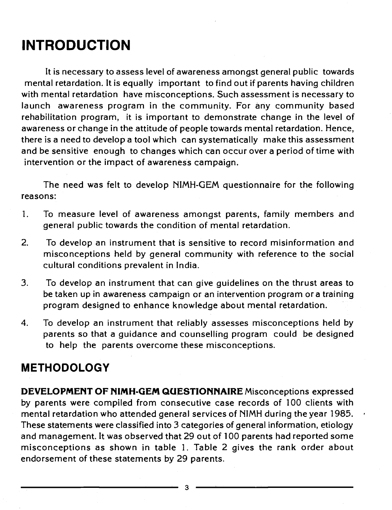# INTRODUCTION

It is necessary to assess level of awareness amongst general public towards mental retardation, It is equally important to find out if parents having children with mental retardation have misconceptions. Such assessment is necessary to launch awareness program in the community. For any community based rehabilitation program, it is important to demonstrate change in the level of awareness or change in the attitude of people towards mental retardation. Hence, there is a need to develop a tool which can systematically make this assessment and be sensitive enough to changes which can occur over a period of time with intervention or the impact of awareness campaign.

The need was felt to develop NIMH-GEM questionnaire for the following reasons:

- 1. To measure level of awareness amongst parents, family members and general public towards the condition of mental retardation.
- 2. To develop an instrument that is sensitive to record misinformation and misconceptions held by general community with reference to the social cultural conditions prevalent in India.
- 3. To develop an instrument that can give guidelines on the thrust areas to be taken up in awareness campaign or an intervention program or a training program designed to enhance knowledge about mental retardation.
- 4. To develop an instrument that reliably assesses misconceptions held by parents so that a guidance and counselling program could be designed to help the parents overcome these misconceptions.

#### METHODOLOGY

DEVELOPMENT OF NIMH-GEM QUESTIONNAIRE Misconceptions expressed by parents were compiled from consecutive case records of 100 clients with mental retardation who attended general services of NIMH during the year 1985. These statements were classified into 3 categories of general information, etiology and management. It was observed that 29 out of 100 parents had reported some misconceptions as shown in table 1. Table 2 gives the rank order about endorsement of these statements by 29 parents.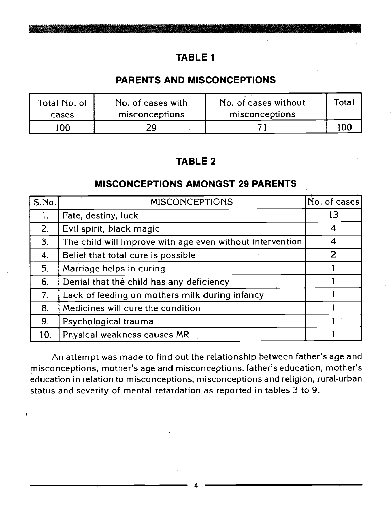#### PARENTS AND MISCONCEPTIONS

| Total No. of<br>cases | No. of cases with<br>misconceptions | No. of cases without<br>misconceptions | Total |  |
|-----------------------|-------------------------------------|----------------------------------------|-------|--|
| '00'                  |                                     |                                        | 100.  |  |

#### TABLE 2

#### MISCONCEPTIONS AMONGST 29 PARENTS

| S.No.          | <b>MISCONCEPTIONS</b>                                     | No. of cases |
|----------------|-----------------------------------------------------------|--------------|
| 1.7            | Fate, destiny, luck                                       | 13           |
| 2.             | Evil spirit, black magic                                  | 4            |
| 3.             | The child will improve with age even without intervention | 4            |
| 4.             | Belief that total cure is possible                        | 2            |
| 5.             | Marriage helps in curing                                  |              |
| 6.             | Denial that the child has any deficiency                  |              |
| 7 <sub>1</sub> | Lack of feeding on mothers milk during infancy            |              |
| 8.             | Medicines will cure the condition                         |              |
| 9.             | Psychological trauma                                      |              |
| 10.            | Physical weakness causes MR                               |              |

An attempt was made to find out the relationship between father's age and misconceptions, mother's age and misconceptions, father's education, mother's education in relation to misconceptions, misconceptions and religion, rural-urban status and severity of mental retardation as reported in tables 3 to 9.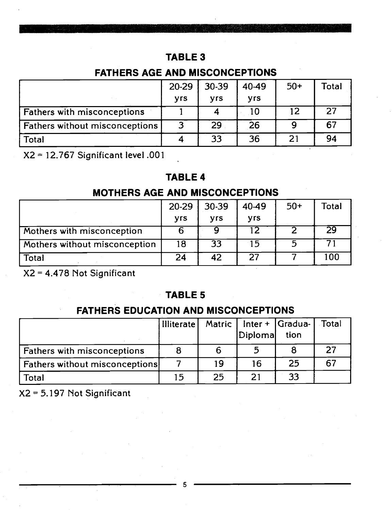#### FATHERS AGE AND MISCONCEPTIONS

|                                | 20-29                 | 30-39                 | 40-49      | $50+$ | Total |
|--------------------------------|-----------------------|-----------------------|------------|-------|-------|
|                                | <b>V<sub>rs</sub></b> | <b>V<sub>rs</sub></b> | <b>Vrs</b> |       |       |
| Fathers with misconceptions    |                       |                       | 10         | 12    | 27    |
| Fathers without misconceptions |                       | 29                    | 26         |       | 67    |
| Total                          |                       | 33                    | 36         | 21    | 94    |

X2 = 12.767 Significant level .001

#### TABLE 4

#### MOTHERS AGE AND MISCONCEPTIONS

|                               | 20-29                 | 30-39      | 40-49                 | $50+$ | Total |
|-------------------------------|-----------------------|------------|-----------------------|-------|-------|
|                               | <b>V<sub>rs</sub></b> | <b>Vrs</b> | <b>V<sub>rs</sub></b> |       |       |
| Mothers with misconception    |                       | u          | 12                    |       | 29    |
| Mothers without misconception | 18                    | 33         | 15                    | 5     |       |
| Total                         | 24                    | 42         | 27                    |       | 100   |

X2 = 4.478 Not Significant

#### TABLE 5

#### FATHERS EDUCATION AND MISCONCEPTIONS

|                                       | Illiterate |    | Matric   Inter +   Gradua- |      | Total |
|---------------------------------------|------------|----|----------------------------|------|-------|
|                                       |            |    | Diplomal                   | tion |       |
| <b>Fathers with misconceptions</b>    |            |    |                            |      | 27    |
| <b>Fathers without misconceptions</b> |            | 19 | 16                         | 25   | 67    |
| <b>Total</b>                          | 15         | つら |                            | 33   |       |

X2 = 5.197 Not Significant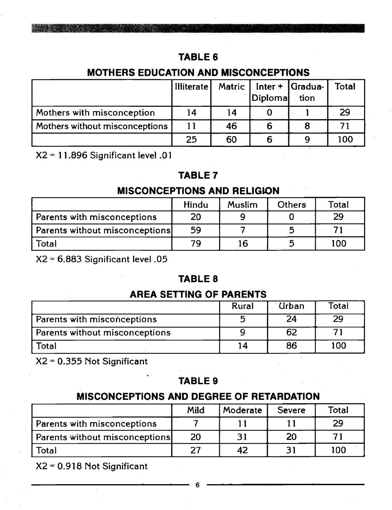#### MOTHERS EDUCATION AND MISCONCEPTIONS

|                                | <b>Illiterate</b> | Matric | Diplomal | $Inter +  Gradua-$<br>tion | Total |
|--------------------------------|-------------------|--------|----------|----------------------------|-------|
| Mothers with misconception     | 14                | 14     |          |                            | 29    |
| Mothers without misconceptions |                   | 46     |          |                            |       |
|                                | 25                | 60     |          |                            | 100   |

X2 = 11.896 Significant level .01

#### TABLE 7

#### **MISCONCEPTIONS AND RELIGION**

|                                | Hindu | <b>Muslim</b> | <b>Others</b> | Total |
|--------------------------------|-------|---------------|---------------|-------|
| Parents with misconceptions    | 20    |               |               | 29    |
| Parents without misconceptions | 59    |               |               |       |
| Total                          | 79    | 16            |               | 100   |

X2 = 6.883 Significant level .05

#### TABLE 8

#### AREA SETTING OF PARENTS

|                                | Rural | <b>Urban</b> | Total |  |
|--------------------------------|-------|--------------|-------|--|
| Parents with misconceptions    |       | 24           | 29    |  |
| Parents without misconceptions |       | 62           |       |  |
| Total                          | 14    | 86           | 100   |  |

X2 = 0.355 Not Significant

#### TABLE 9

#### MISCONCEPTIONS AND DEGREE OF RETARDATION

|                                | Mild | Moderate | <b>Severe</b> | Total |
|--------------------------------|------|----------|---------------|-------|
| Parents with misconceptions    |      |          |               | 29    |
| Parents without misconceptions | 20   |          | 20            |       |
| Total                          | つフ   | 42       |               | 100   |

X2 = 0.9 18 Not Significant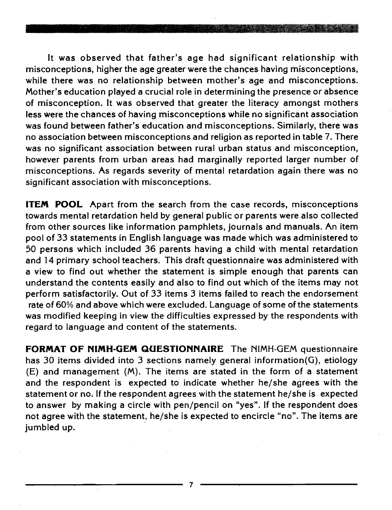It was observed that father's age had significant relationship with misconceptions, higher the age greater were the chances having misconceptions, while there was no relationship between mother's age and misconceptions. Mother's education played a crucial role in determining the presence or absence of misconception. It was observed that greater the literacy amongst mothers less were the chances of having misconceptions while no significant association was found between father's education and misconceptions. Similarly, there was no association between misconceptions and religion as reported in table 7. There was no significant association between rural urban status and misconception, however parents from urban areas had marginally reported larger number of misconceptions. As regards severity of mental retardation again there was no significant association with misconceptions.

ITEM POOL Apart from the search from the case records, misconceptions towards mental retardation held by general public or parents were also collected from other sources like information pamphlets, journals and manuals. An item pool of 33 statements in English language was made which was administered to 50 persons which included 36 parents having a child with mental retardation and 14 primary school teachers. This draft questionnaire was administered with a view to find out whether the statement is simple enough that parents can understand the contents easily and also to find out which of the items may not perform satisfactorily. Out of 33 items 3 items failed to reach the endorsement rate of 60% and above which were excluded. Language of some of the statements was modified keeping in view the difficulties expressed by the respondents with regard to language and content of the statements.

FORMAT OF NIMH-GEM QUESTIONNAIRE The NIMH-GEM questionnaire has 30 items divided into 3 sections namely general information(G), etiology (E) and management (M). The items are stated in the form of a statement and the respondent is expected to indicate whether he/she agrees with the statement or no. If the respondent agrees with the statement he/she is expected to answer by making a circle with pen/pencil on "yes". If the respondent does not agree with the statement, he/she is expected to encircle "no". The items are jumbled up.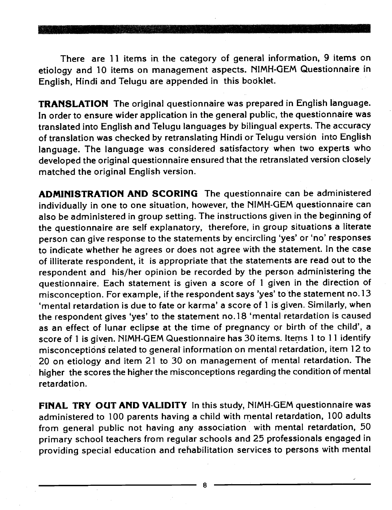There are 11 items in the category of general information, 9 items on etiology and 10 items on management aspects. NIMH-GEM Questionnaire in English, Hindi and Telugu are appended in this booklet.

TRANSLATION The original questionnaire was prepared in English language. In order to ensure wider application in the general public, the questionnaire was translated into English and Telugu languages by bilingual experts. The accuracy of translation was checked by retranslating Hindi or Telugu version into English language. The language was considered satisfactory when two experts who developed the original questionnaire ensured that the retranslated version closely matched the original English version.

ADMINISTRATION AND SCORING The questionnaire can be administered individually in one to one situation, however, the NIMH-GEM questionnaire can also be administered in group setting. The instructions given in the beginning of the questionnaire are self explanatory, therefore, in group situations a literate person can give response to the statements by encircling 'yes' or 'no' responses to indicate whether he agrees or does not agree with the statement. In the case of illiterate respondent, it is appropriate that the statements are read out to the<br>respondent and his/her opinion be recorded by the person administering the questionnaire. Each statement is given a score of 1 given in the direction of misconception. For example, if the respondent says 'yes' to the statement no.13 'mental retardation is due to fate or karma' a score of 1 is given. Similarly, when the respondent gives 'yes' to the statement no.18 'mental retardation is caused as an effect of lunar eclipse at the time of pregnancy or birth of the child', a score of 1 is given. NIMH-GEM Questionnaire has 30 items. Items I to 11 identify misconceptions related to general information on mental retardation, item 12 to 20 on etiology and item 21 to 30 on management of mental retardation. The higher the scores the higher the misconceptions regarding the condition of mental retardation.

FINAL TRY OUT AND VALIDITY In this study, NIMH-GEM questionnaire was administered to 100 parents having a child with mental retardation, 100 adults from general public not having any association with mental retardation, 50 primary school teachers from regular schools and 25 professionals engaged in providing special education and rehabilitation services to persons with mental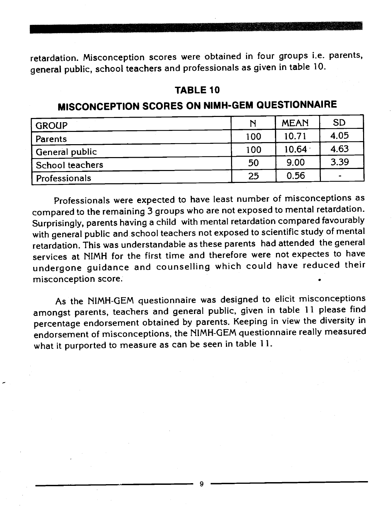retardation. Misconception scores were obtained in four groups i.e. parents, general public, school teachers and professionals as given in table 10.

#### TABLE 10

#### MISCONCEPTION SCORES ON NIMH-GEM QUESTIONNAIRE

| <b>GROUP</b>    | N   | <b>MEAN</b> | <b>SD</b> |
|-----------------|-----|-------------|-----------|
| Parents         | 100 | 10.71       | 4.05      |
| General public  | 100 | $10.64 +$   | 4.63      |
| School teachers | 50  | 9.00        | 3.39      |
| Professionals   | 25  | 0.56        |           |

Professionals were expected to have least number of misconceptions as compared to the remaining 3 groups who are not exposed to mental retardation. Surprisingly, parents having a child with mental retardation compared favourably with general public and school teachers not exposed to scientific study of mental retardation. This was understandable as these parents had attended the general services at NIMH for the first time and therefore were not expectes to have undergone guidance and counselling which could have reduced their misconception score.

As the NIMH-GEM questionnaire was designed to elicit misconceptions amongst parents, teachers and general public, given in table 11 please find percentage endorsement obtained by parents. Keeping in view the diversity in endorsement of misconceptions, the NIMH-GEM questionnaire really measured what it purported to measure as can be seen in table 11.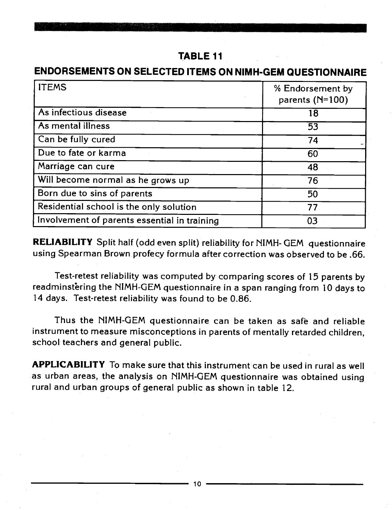#### ENDORSEMENTS ON SELECTED ITEMS ON NIMH-GEM QUESTIONNAIRE

| <b>ITEMS</b>                                 | % Endorsement by<br>parents $(N=100)$ |
|----------------------------------------------|---------------------------------------|
| As infectious disease                        | 18                                    |
| As mental illness                            | 53                                    |
| Can be fully cured                           | 74                                    |
| Due to fate or karma                         | 60                                    |
| Marriage can cure                            | 48                                    |
| Will become normal as he grows up            | 76                                    |
| Born due to sins of parents                  | 50                                    |
| Residential school is the only solution      | 77                                    |
| Involvement of parents essential in training | 03                                    |

RELIABILITY Split half (odd even split) reliability for NIMH- GEM questionnaire using Spearman Brown profecy formula after correction was observed to be .66.

Test-retest reliability was computed by comparing scores of 15 parents by readminstering the NIMH-GEM questionnaire in a span ranging from 10 days to 14 days. Test-retest reliability was found to be 0.86.

Thus the NIMH-GEM questionnaire can be taken as safe and reliable instrument to measure misconceptions in parents of mentally retarded children, school teachers and general public.

APPLICABILITY To make sure that this instrument can be used in rural as well as urban areas, the analysis on NIMH-GEM questionnaire was obtained using rural and urban groups of general public as shown in table 12.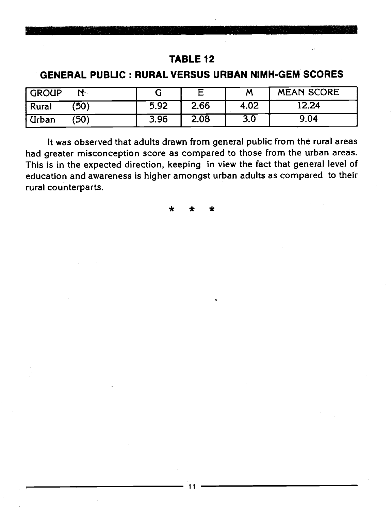#### GENERAL PUBLIC : RURAL VERSUS URBAN NIMH-GEM SCORES

| GROUP                |      | F    | M    | <b>MEAN SCORE</b> |
|----------------------|------|------|------|-------------------|
| (50)<br>  Rural      | 5.92 | 2.66 | 4.02 | 12.24             |
| <b>Urban</b><br>'50) | 3.96 | 2.08 | 3.0  | 9.04              |

It was observed that adults drawn from general public from the rural areas had greater misconception score as compared to those from the urban areas. This is in the expected direction, keeping in view the fact that general level of education and awareness is higher amongst urban adults as compared to their rural counterparts.

\* \* \*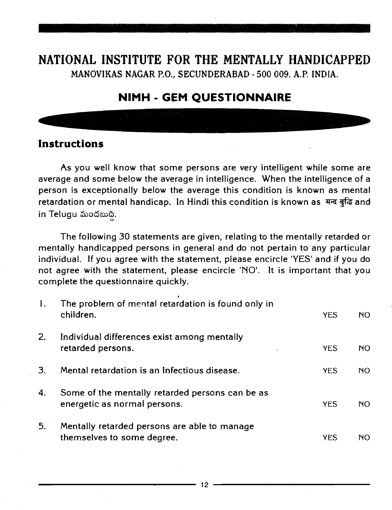#### NATIONAL INSTITUTE FOR THE MENTALLY HANDICAPPED MANOVIKAS NAGAR P.O., SECUNDERABAD -500 009. A.P. INDIA.

#### NIMH - GEM QUESTIONNAIRE

#### Instructions

As you well know that some persons are very intelligent while some are average and some below the average in intelligence. When the intelligence of a person is exceptionally below the average this condition is known as mental retardation or mental handicap. In Hindi this condition is known as मन्द बुद्धि and in Telugu మందబుది.

The following 30 statements are given, relating to the mentally retarded or mentally handicapped persons in general and do not pertain to any particular individual. If you agree with the statement, please encircle 'YES' and if you do not agree with the statement, please encircle 'NO'. It is important that you complete the questionnaire quickly.

| The problem of mental retardation is found only in<br>children.                 | <b>YES</b> | NO.            |
|---------------------------------------------------------------------------------|------------|----------------|
| Individual differences exist among mentally<br>retarded persons.                | <b>YES</b> | <b>NO</b>      |
| Mental retardation is an Infectious disease.                                    | <b>YES</b> | N <sub>O</sub> |
| Some of the mentally retarded persons can be as<br>energetic as normal persons. | <b>YES</b> | NO.            |
| Mentally retarded persons are able to manage<br>themselves to some degree.      | <b>YES</b> | NO             |
|                                                                                 |            |                |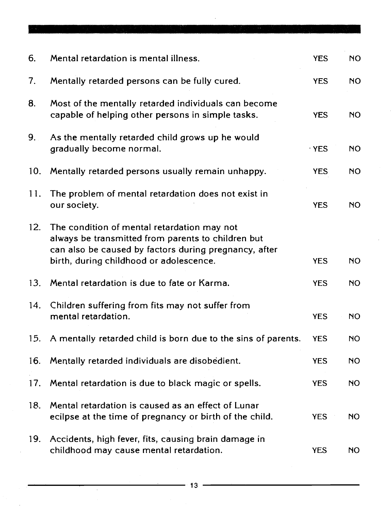| 6.  | Mental retardation is mental illness.                                                                                                                                                                 | <b>YES</b>  | NO.       |
|-----|-------------------------------------------------------------------------------------------------------------------------------------------------------------------------------------------------------|-------------|-----------|
| 7.  | Mentally retarded persons can be fully cured.                                                                                                                                                         | <b>YES</b>  | <b>NO</b> |
| 8.  | Most of the mentally retarded individuals can become<br>capable of helping other persons in simple tasks.                                                                                             | <b>YES</b>  | <b>NO</b> |
| 9.  | As the mentally retarded child grows up he would<br>gradually become normal.                                                                                                                          | $\cdot$ YES | <b>NO</b> |
| 10. | Mentally retarded persons usually remain unhappy.                                                                                                                                                     | <b>YES</b>  | <b>NO</b> |
| 11. | The problem of mental retardation does not exist in<br>our society.                                                                                                                                   | <b>YES</b>  | <b>NO</b> |
| 12. | The condition of mental retardation may not<br>always be transmitted from parents to children but<br>can also be caused by factors during pregnancy, after<br>birth, during childhood or adolescence. | <b>YES</b>  | NO        |
| 13. | Mental retardation is due to fate or Karma.                                                                                                                                                           | <b>YES</b>  | <b>NO</b> |
| 14. | Children suffering from fits may not suffer from<br>mental retardation.                                                                                                                               | <b>YES</b>  | <b>NO</b> |
| 15. | A mentally retarded child is born due to the sins of parents.                                                                                                                                         | <b>YES</b>  | <b>NO</b> |
| 16. | Mentally retarded individuals are disobedient.                                                                                                                                                        | <b>YES</b>  | <b>NO</b> |
| 17. | Mental retardation is due to black magic or spells.                                                                                                                                                   | <b>YES</b>  | <b>NO</b> |
| 18. | Mental retardation is caused as an effect of Lunar<br>ecilpse at the time of pregnancy or birth of the child.                                                                                         | <b>YES</b>  | NO        |
| 19. | Accidents, high fever, fits, causing brain damage in<br>childhood may cause mental retardation.                                                                                                       | <b>YES</b>  | <b>NO</b> |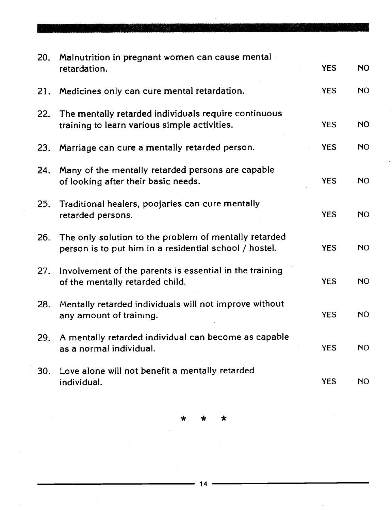| 20. | Malnutrition in pregnant women can cause mental                                                                 |            |           |
|-----|-----------------------------------------------------------------------------------------------------------------|------------|-----------|
|     | retardation.                                                                                                    | <b>YES</b> | <b>NO</b> |
| 21. | Medicines only can cure mental retardation.                                                                     | <b>YES</b> | <b>NO</b> |
| 22. | The mentally retarded individuals require continuous<br>training to learn various simple activities.            | <b>YES</b> | <b>NO</b> |
| 23. | Marriage can cure a mentally retarded person.                                                                   | <b>YES</b> | <b>NO</b> |
| 24. | Many of the mentally retarded persons are capable<br>of looking after their basic needs.                        | <b>YES</b> | <b>NO</b> |
| 25. | Traditional healers, poojaries can cure mentally<br>retarded persons.                                           | <b>YES</b> | <b>NO</b> |
| 26. | The only solution to the problem of mentally retarded<br>person is to put him in a residential school / hostel. | <b>YES</b> | <b>NO</b> |
| 27. | Involvement of the parents is essential in the training<br>of the mentally retarded child.                      | <b>YES</b> | <b>NO</b> |
| 28. | Mentally retarded individuals will not improve without<br>any amount of training.                               | <b>YES</b> | <b>NO</b> |
| 29. | A mentally retarded individual can become as capable<br>as a normal individual.                                 | <b>YES</b> | <b>NO</b> |
| 30. | Love alone will not benefit a mentally retarded<br>individual.                                                  | <b>YES</b> | <b>NO</b> |

\* \* \*

 $\bar{z}$ 

 $\cdot$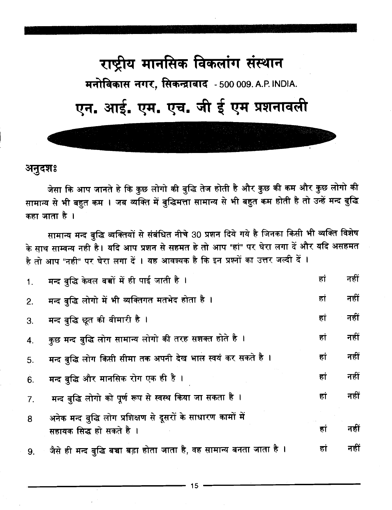# राष्ट्रीय मानसिक विकलांग संस्थान मनोविकास नगर, सिकन्द्राबाद - 500 009. A.P. INDIA. एन. आई. एम. एच. जी ई एम प्रशनावली

अनुदशः

जेसा कि आप जानते हे कि कुछ लोगो की बुद्धि तेज होती है और कुछ की कम और कुछ लोगो की सामान्य से भी बहुत कम । जब व्यक्ति में बुद्धिमत्ता सामान्य से भी बहुत कम होती है तो उन्हें मन्द बुद्धि कहा जाता है ।

सामान्य मन्द बुद्धि व्यक्तियों से संबंधित नीचे 30 प्रशन दिये गये है जिनका किसी भी व्यक्ति विशेष के साथ साम्वन्य नही है। यदि आप प्रशन से सहमत हे तो आप "हां" पर घेरा लगा दें और यदि असहमत है तो आप "नही" पर घेरा लगा दें । यह आवश्यक है कि इन प्रश्नों का उत्तर जल्दी दें ।

| 1. | मन्द बुद्धि केवल बच्चों में ही पाई जाती है ।                            | हां | नहीं |
|----|-------------------------------------------------------------------------|-----|------|
| 2. | मन्द बुद्धि लोगो में भी व्यक्तिगत मतभेद होता है ।                       | हां | नहीं |
| 3. | मन्द बुद्धि छूत की बीमारी है ।                                          | हां | नहीं |
| 4. | कुछ मन्द बुद्धि लोग सामान्य लोगो की तरह सशक्त होते है ।                 | हां | नहीं |
| 5. | मन्द बुद्धि लोग किसी सीमा तक अपनी देख भाल स्वयं कर सकते है ।            | हां | नहीं |
| 6. | मन्द बुद्धि और मानसिक रोग एक ही है ।                                    | हां | नहीं |
| 7. | मन्द बुद्धि लोगो को पूर्ण रूप से स्वस्थ किया जा सकता है।                | हां | नहीं |
| 8  | अनेक मन्द बुद्धि लोग प्रशिक्षण से दूसरों के साधारण कामों में            |     |      |
|    | सहायक सिद्ध हो सकते है ।                                                | हा  | नहीं |
| 9. | ्जैसे ही मन्द बुद्धि बच्चा बड़ा होता जाता है, वह सामान्य बनता जाता है । | हां | नहीं |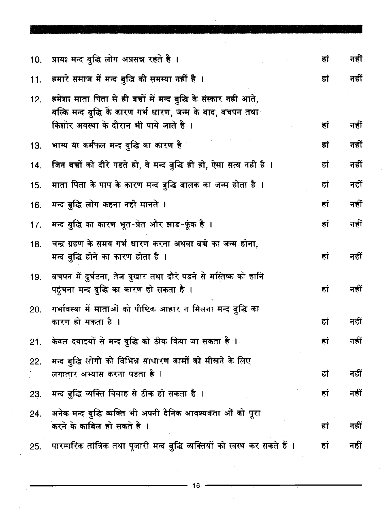| 10. | प्रायः मन्द बुद्धि लोग अप्रसन्न रहते है ।                                                                                                                                     | हां | नहीं |
|-----|-------------------------------------------------------------------------------------------------------------------------------------------------------------------------------|-----|------|
| 11. | हमारे समाज में मन्द बुद्धि की समस्या नहीं है ।                                                                                                                                | हां | नहीं |
|     | 12. हमेशा माता पिता से ही बच्चों में मन्द बुद्धि के संस्कार नही आते,<br>बल्कि मन्द बुद्धि के कारण गर्भ धारण, जन्म के बाद, बचपन तथा<br>किशोर अवस्था के दौरान भी पाये जाते है । | हां | नहीं |
| 13. | भाग्य या कर्मफल मन्द बुद्धि का कारण है                                                                                                                                        | हा  | नहीं |
| 14. | जिन बच्चों को दौरे पडते हो, वे मन्द बुद्धि ही हो, ऐसा सत्य नही है ।                                                                                                           | हां | नहीं |
| 15. | माता पिता के पाप के कारण मन्द बुद्धि बालक का जन्म होता है ।                                                                                                                   | हां | नहीं |
| 16. | मन्द बुद्धि लोग कहना नही मानते ।                                                                                                                                              | हां | नहीं |
| 17. | मन्द बुद्धि का कारण भूत-प्रेत और झाड-फूंक है ।                                                                                                                                | हां | नहीं |
| 18. | चन्द्र ग्रहण के समय गर्भ धारण करना अथवा बच्चे का जन्म होना,<br>मन्द बुद्धि होने का कारण होता है ।                                                                             | हां | नहीं |
| 19. | बचपन में दुर्घटना, तेज बुखार तथा दौरे पडने से मस्तिष्क को हानि<br>पहुंचना मन्द बुद्धि का कारण हो सकता है ।                                                                    | हा  | नहीं |
| 20. | गर्भावस्था में माताओं को पौष्टिक आहार न मिलना मन्द बुद्धि का<br>कारण हो सकता है ।                                                                                             | हां | नहीं |
| 21. | केवल दवाइयों से मन्द बुद्धि को ठीक किया जा सकता है <b>ं।</b>                                                                                                                  | हां | नहीं |
| 22. | मन्द बुद्धि लोगों को विभिन्न साधारण कामों को सीखने के लिए<br>लगातार अभ्यास करना पडता है ।                                                                                     | हां | नहीं |
| 23. | मन्द बुद्धि व्यक्ति विवाह से ठीक हो सकता है।                                                                                                                                  | हा  | नहीं |
| 24. | अनेक मन्द बुद्धि व्यक्ति भी अपनी दैनिक आवश्यकता ओं को पूरा<br>करने के काबिल हो सकते है ।                                                                                      | हां | नहीं |
| 25. | पारम्परिक तांत्रिक तथा पूजारी मन्द बुद्धि व्यक्तियों को स्वस्थ कर सकते हैं ।                                                                                                  | हां | नहीं |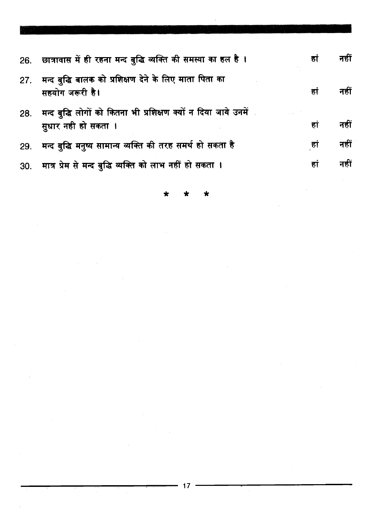|     | 26. छात्रावास में ही रहना मन्द बुद्धि व्यक्ति की समस्या का हल है।                      | हा  | नहीं |
|-----|----------------------------------------------------------------------------------------|-----|------|
| 27. | मन्द बुद्धि बालक को प्रशिक्षण देने के लिए माता पिता का<br>सहयोग जरूरी है।              | हां | नहीं |
| 28. | मन्द बुद्धि लोगों को कितना भी प्रशिक्षण क्यों न दिया जाये उनमें<br>सुधार नही हो सकता । | हां | नहीं |
|     | 29. मन्द बुद्धि मनुष्य सामान्य व्यक्ति की तरह समर्थ हो सकता है                         | हां | नहीं |
|     | 30. मात्र प्रेम से मन्द बुद्धि व्यक्ति को लाभ नहीं हो सकता ।                           | हा  | नहीं |

 $\star$ 

 $\sim$ 

 $17$ 

 $\frac{1}{2}$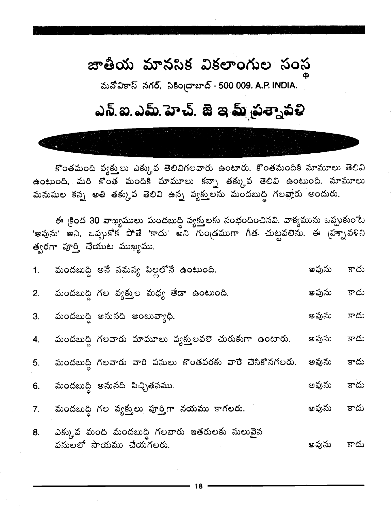### జాతీయ మానసిక వికలాంగుల సంస

మనోవికాస్ నగర్, సికింద్రాబాద్ - 500 009. A.P. INDIA.

# ఎన్.ఐ.ఎమ్.హెచ్. జె ఇ మ్ వ్రశ్నావళి

కొంతమంది వ్యక్తులు ఎక్కువ తెలివిగలవారు ఉంటారు. కొంతమందికి మామూలు తెలివి ఉంటుంది, మరి కొంత మందికి మామూలు కన్నా తక్కువ తెలివి ఉంటుంది. మామూలు మనుషుల కన్న అతి తక్కువ తెలివి ఉన్న వ్యక్తులను మందబుద్ధి గలవారు అందురు.

ఈ క్రింద 30 వాఖ్యములు మందబుద్ధి వ్యక్తులకు సంభందించినవి. వాక్యమును ఒప్పుకుంటే 'అవును' అని, ఒప్పుకోక పోతే 'కాదు' అని గుండ్రముగా గీత చుట్టవలెను. ఈ మ్రాప్టేఫ్ సి త్వరగా పూర్తి చేయుట ముఖ్యము.

| 1. మందబుద్ధి ఆనే సమస్య పిల్లలోనే ఉంటుంది. | అవును కాదు                                                                                                                                                                                                                                                                                                                                                      |            |
|-------------------------------------------|-----------------------------------------------------------------------------------------------------------------------------------------------------------------------------------------------------------------------------------------------------------------------------------------------------------------------------------------------------------------|------------|
|                                           | అవును                                                                                                                                                                                                                                                                                                                                                           | కాదు       |
|                                           | అవును                                                                                                                                                                                                                                                                                                                                                           | కాదు       |
|                                           | అవును                                                                                                                                                                                                                                                                                                                                                           | కాదు       |
|                                           | అవును                                                                                                                                                                                                                                                                                                                                                           | కాదు       |
|                                           | అవును                                                                                                                                                                                                                                                                                                                                                           | కాదు       |
|                                           | అవును                                                                                                                                                                                                                                                                                                                                                           | కాదు       |
|                                           |                                                                                                                                                                                                                                                                                                                                                                 |            |
|                                           | మందబుద్ది గల వ్యక్తుల మధ్య తేడా ఉంటుంది.<br>3. మందబుద్ధి ఆనునది అంటువ్యాధి.<br>4. మందబుద్ధి గలవారు మామూలు వ్యక్తులవలె చురుకుగా ఉంటారు.<br>5. మందబుద్ధి గలవారు వారి పనులు కొంతవరకు వారే చేసికొనగలరు.<br>6. మందబుద్ధి అనునది పిచ్చితనము.<br>మందబుద్ది గల వ్యక్తులు పూర్తిగా నయము కాగలరు.<br>ఎక్కువ మంది మందబుద్ధి గలవారు ఇతరులకు సులువైన<br>పనులలో సాయము చేయగలరు. | అవును కాదు |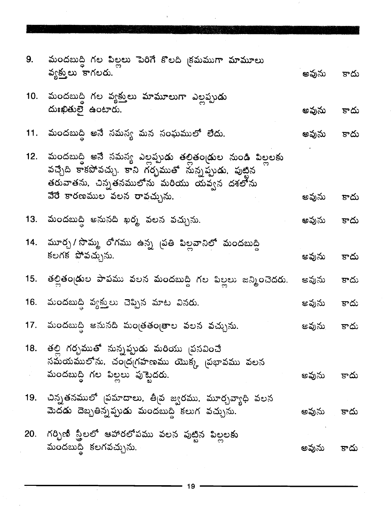|     | 9. మందబుద్ది గల పిల్లలు పెరిగే కొలది <sub>(</sub> కమముగా మామూలు<br>వ్యక్తులు కాగలరు.                                                                                    | అవును కాదు |      |
|-----|-------------------------------------------------------------------------------------------------------------------------------------------------------------------------|------------|------|
|     | 10.  మందబుద్ధి గల వ్యక్తులు మామూలుగా ఎల్లప్పుడు<br>దుఃఖితులై ఉంటారు.                                                                                                    | అవును కాదు |      |
|     | 11.  మందబుద్ధి అనే సమస్య మన సంఘములో లేదు.                                                                                                                               | అవును కాదు |      |
|     | 12.  మందబుద్ధి అనే సమస్య ఎల్లప్పుడు తల్లితండ్రుల నుండి పిల్లలకు<br>వచ్చేది కాకపోవచ్చు. కాని గర్భముతో నున్నప్పుడు, పుట్టిన<br>తరువాతను, చిన్నతనములోను మరియు యవ్వన దశలోను |            |      |
|     | వేరే కారణముల వలన రావచ్చును.                                                                                                                                             | అవును      | కాదు |
|     | 13.  మందబుద్ధి అనునది ఖర్మ వలన వచ్చును.                                                                                                                                 | అవును కాదు |      |
|     | 14.  మూర్చ / సొమ్మ  రోగము  ఉన్న  సతి  పిల్లవానిలో  మందబుద్ధి<br>కలగక పోవచ్చును.                                                                                         | అవును      | కాదు |
|     | 15.  తల్లితండ్రుల పాపము వలన మందబుద్ధి గల పిల్లలు జన్మించెదరు.                                                                                                           | అవును      | కాదు |
|     | 16. -మందబుద్ధి వ్యక్తులు చెప్పిన మాట వినరు.                                                                                                                             | ఆవును      | కాదు |
| 17. | మందబుద్ధి అనునది మంత్రతంత్రాల వలన వచ్చును.                                                                                                                              | ఆవును కాదు |      |
|     | 18.  తల్లి గర్చముతో నున్నప్పుడు మరియు <sub>(</sub> పసవించే<br>సమయములోను, చంద్రగహణము యొక్క (పభావము వలన<br>మందబుద్ది గల పిల్లలు పుట్టైదరు.                                | అవును      | కాదు |
|     | 19. చిన్నతనములో <sub>(</sub> పమాదాలు, తీ <sub>(</sub> వ జ్వరము, మూర్చవ్యాధి వలన<br>మెదడు దెబ్బతిన్నప్పుడు మందబుద్ధి కలుగ వచ్చును.                                       | అవును      | కాదు |
| 20. | గర్భిణీ స్త్రీలలో ఆహారలోపము వలన పుట్టిన పిల్లలకు<br>మందబుద్ధి కలగవచ్చును.                                                                                               | అవును      | కాదు |